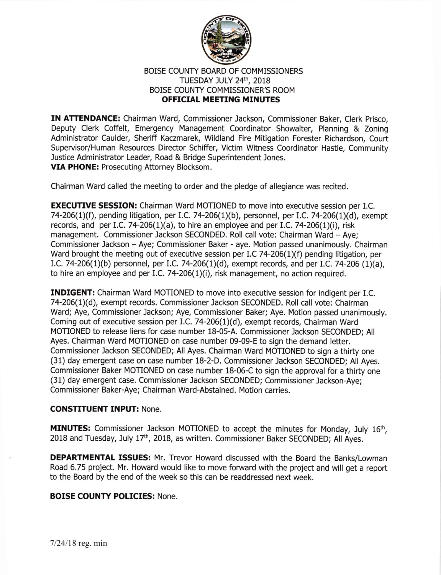

## BOISE COUNTY BOARD OF COMMISSIONERS TUESDAY JULY 24th, 2018 BOISE COUNTY COMMISSIONER'S ROOM OFFICIAL MEETING MINUTES

IN ATTENDANCE: Chairman Ward, Commissioner Jackson, Commissioner Baker, Clerk Prisco, Deputy Clerk Coffelt, Emergency Management Coordinator Showalter, Planning & Zoning Administrator Caulder, Sheriff Kaczmarek, Wildland Fire Mitigation Forester Richardson, Court Supervisor/Human Resources Director Schiffer, Victim Witness Coordinator Hastie, Community Justice Administrator Leader, Road & Bridge Superintendent Jones. VIA PHONE: Prosecuting Attorney Blocksom.

Chairman Ward called the meeting to order and the pledge of allegiance was recited.

**EXECUTIVE SESSION:** Chairman Ward MOTIONED to move into executive session per I.C. 74-206(1)(f), pending litigation, per I.C. 74-206(1)(b), personnel, per I.C. 74-206(1)(d), exempt records, and per I.C. 74-206(1)(a), to hire an employee and per I.C. 74-206(1)(i), risk management. Commissioner Jackson SECONDED. Roll call vote: Chairman Ward - Aye; Commissioner Jackson - Aye; Commissioner Baker - aye. Motion passed unanimously. Chairman Ward brought the meeting out of executive session per I.C 74-206(1)(f) pending litigation, per LC.74-206(L)(b) personnel, pet 1.C.74-2O6(1)(d), exempt records, and per I.C. 7a-206 (1)(a), to hire an employee and per I.C. 74-206 $(1)(i)$ , risk management, no action required.

**INDIGENT:** Chairman Ward MOTIONED to move into executive session for indigent per I.C. 74-206(1)(d), exempt records. Commissioner Jackson SECONDED. Roll call vote: Chairman Ward; Aye, Commissioner Jackson; Aye, Commissioner Baker; Aye. Motion passed unanimously. Coming out of executive session per I.C. 74-206(1)(d), exempt records, Chairman Ward MOTIONED to release liens for case number 18-05-A. Commissioner Jackson SECONDED; All Ayes. Chairman Ward MOTIONED on case number 09-09-E to sign the demand letter. Commissioner Jackson SECONDED; All Ayes. Chairman Ward MOTIONED to sign a thirty one (31) day emergent case on case number 18-2-D. Commissioner Jackson SECONDED; All Ayes. Commissioner Baker MOTIONED on case number 18-06-C to sign the approval for a thirty one (31) day emergent case. Commissioner Jackson SECONDED; Commissioner Jackson-Aye; Commissioner Baker-Aye; Chairman Ward-Abstained. Motion carries.

## **CONSTITUENT INPUT: None.**

**MINUTES:** Commissioner Jackson MOTIONED to accept the minutes for Monday, July 16<sup>th</sup>, 2018 and Tuesday, July 17<sup>th</sup>, 2018, as written. Commissioner Baker SECONDED; All Ayes.

**DEPARTMENTAL ISSUES:** Mr. Trevor Howard discussed with the Board the Banks/Lowman Road 6.75 project. Mr. Howard would like to move forward with the project and will get a report to the Board by the end of the week so this can be readdressed next week.

## BOISE COUNTY POLICIES: None.